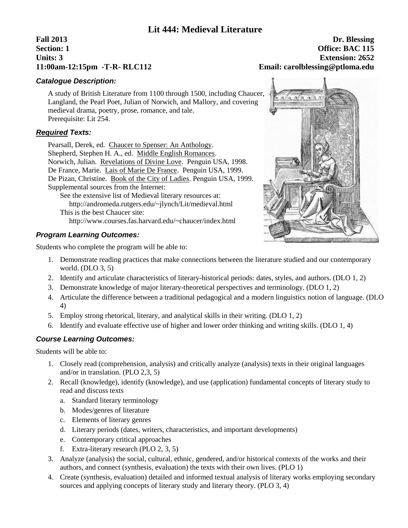### **Lit 444: Medieval Literature**

# **Fall 2013 Dr. Blessing 11:00am-12:15pm -T-R- RLC112 Email: carolblessing@ptloma.edu**

# **Section: 1 Office: BAC 115 Units: 3 Extension: 2652**

#### *Catalogue Description:*

A study of British Literature from 1100 through 1500, including Chaucer, Langland, the Pearl Poet, Julian of Norwich, and Mallory, and covering medieval drama, poetry, prose, romance, and tale. Prerequisite: Lit 254.

#### *Required Texts:*

Pearsall, Derek, ed. Chaucer to Spenser: An Anthology. Shepherd, Stephen H. A., ed. Middle English Romances. Norwich, Julian. Revelations of Divine Love. Penguin USA, 1998. De France, Marie. Lais of Marie De France. Penguin USA, 1999. De Pizan, Christine. Book of the City of Ladies. Penguin USA, 1999. Supplemental sources from the Internet:

See the extensive list of Medieval literary resources at: http://andromeda.rutgers.edu/~jlynch/Lit/medieval.html This is the best Chaucer site: http://www.courses.fas.harvard.edu/~chaucer/index.html

#### *Program Learning Outcomes:*

Students who complete the program will be able to:

- 1. Demonstrate reading practices that make connections between the literature studied and our contemporary world. (DLO 3, 5)
- 2. Identify and articulate characteristics of literary-historical periods: dates, styles, and authors. (DLO 1, 2)
- 3. Demonstrate knowledge of major literary-theoretical perspectives and terminology. (DLO 1, 2)
- 4. Articulate the difference between a traditional pedagogical and a modern linguistics notion of language. (DLO 4)
- 5. Employ strong rhetorical, literary, and analytical skills in their writing. (DLO 1, 2)
- 6. Identify and evaluate effective use of higher and lower order thinking and writing skills. (DLO 1, 4)

#### *Course Learning Outcomes:*

Students will be able to:

- 1. Closely read (comprehension, analysis) and critically analyze (analysis) texts in their original languages and/or in translation. (PLO 2,3, 5)
- 2. Recall (knowledge), identify (knowledge), and use (application) fundamental concepts of literary study to read and discuss texts
	- a. Standard literary terminology
	- b. Modes/genres of literature
	- c. Elements of literary genres
	- d. Literary periods (dates, writers, characteristics, and important developments)
	- e. Contemporary critical approaches
	- f. Extra-literary research (PLO 2, 3, 5)
- 3. Analyze (analysis) the social, cultural, ethnic, gendered, and/or historical contexts of the works and their authors, and connect (synthesis, evaluation) the texts with their own lives. (PLO 1)
- 4. Create (synthesis, evaluation) detailed and informed textual analysis of literary works employing secondary sources and applying concepts of literary study and literary theory. (PLO 3, 4)

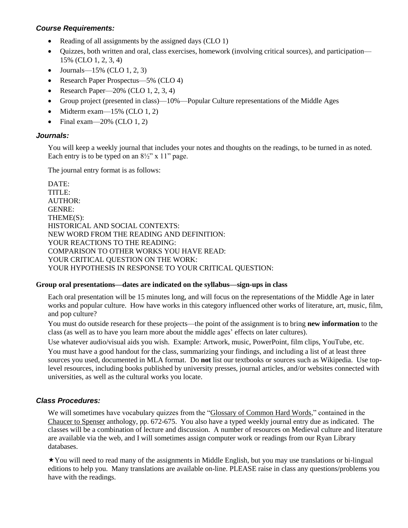#### *Course Requirements:*

- Reading of all assignments by the assigned days (CLO 1)
- Quizzes, both written and oral, class exercises, homework (involving critical sources), and participation— 15% (CLO 1, 2, 3, 4)
- Journals—15% (CLO 1, 2, 3)
- Research Paper Prospectus—5% (CLO 4)
- Research Paper— $20\%$  (CLO 1, 2, 3, 4)
- Group project (presented in class)—10%—Popular Culture representations of the Middle Ages
- $\bullet$  Midterm exam—15% (CLO 1, 2)
- Final exam—20% (CLO  $1, 2$ )

#### *Journals:*

You will keep a weekly journal that includes your notes and thoughts on the readings, to be turned in as noted. Each entry is to be typed on an  $8\frac{1}{2}$ " x 11" page.

The journal entry format is as follows:

DATE: TITLE<sup>.</sup> AUTHOR: GENRE: THEME(S): HISTORICAL AND SOCIAL CONTEXTS: NEW WORD FROM THE READING AND DEFINITION: YOUR REACTIONS TO THE READING: COMPARISON TO OTHER WORKS YOU HAVE READ: YOUR CRITICAL QUESTION ON THE WORK: YOUR HYPOTHESIS IN RESPONSE TO YOUR CRITICAL QUESTION:

#### **Group oral presentations—dates are indicated on the syllabus—sign-ups in class**

Each oral presentation will be 15 minutes long, and will focus on the representations of the Middle Age in later works and popular culture. How have works in this category influenced other works of literature, art, music, film, and pop culture?

You must do outside research for these projects—the point of the assignment is to bring **new information** to the class (as well as to have you learn more about the middle ages' effects on later cultures).

Use whatever audio/visual aids you wish. Example: Artwork, music, PowerPoint, film clips, YouTube, etc.

You must have a good handout for the class, summarizing your findings, and including a list of at least three sources you used, documented in MLA format. Do **not** list our textbooks or sources such as Wikipedia. Use toplevel resources, including books published by university presses, journal articles, and/or websites connected with universities, as well as the cultural works you locate.

#### *Class Procedures:*

We will sometimes have vocabulary quizzes from the "Glossary of Common Hard Words," contained in the Chaucer to Spenser anthology, pp. 672-675. You also have a typed weekly journal entry due as indicated. The classes will be a combination of lecture and discussion. A number of resources on Medieval culture and literature are available via the web, and I will sometimes assign computer work or readings from our Ryan Library databases.

You will need to read many of the assignments in Middle English, but you may use translations or bi-lingual editions to help you. Many translations are available on-line. PLEASE raise in class any questions/problems you have with the readings.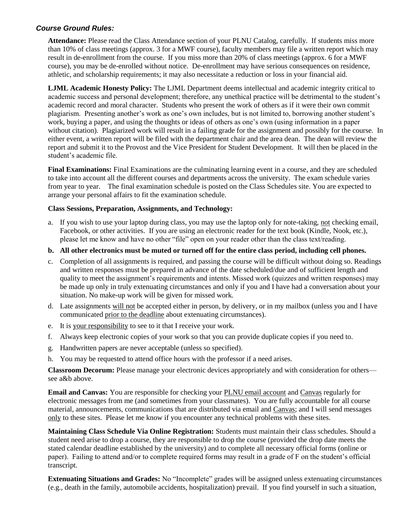#### *Course Ground Rules:*

**Attendance:** Please read the Class Attendance section of your PLNU Catalog, carefully. If students miss more than 10% of class meetings (approx. 3 for a MWF course), faculty members may file a written report which may result in de-enrollment from the course. If you miss more than 20% of class meetings (approx. 6 for a MWF course), you may be de-enrolled without notice. De-enrollment may have serious consequences on residence, athletic, and scholarship requirements; it may also necessitate a reduction or loss in your financial aid.

**LJML Academic Honesty Policy:** The LJML Department deems intellectual and academic integrity critical to academic success and personal development; therefore, any unethical practice will be detrimental to the student's academic record and moral character. Students who present the work of others as if it were their own commit plagiarism. Presenting another's work as one's own includes, but is not limited to, borrowing another student's work, buying a paper, and using the thoughts or ideas of others as one's own (using information in a paper without citation). Plagiarized work will result in a failing grade for the assignment and possibly for the course. In either event, a written report will be filed with the department chair and the area dean. The dean will review the report and submit it to the Provost and the Vice President for Student Development. It will then be placed in the student's academic file.

**Final Examinations:** Final Examinations are the culminating learning event in a course, and they are scheduled to take into account all the different courses and departments across the university. The exam schedule varies from year to year. The final examination schedule is posted on the Class Schedules site. You are expected to arrange your personal affairs to fit the examination schedule.

#### **Class Sessions, Preparation, Assignments, and Technology:**

a. If you wish to use your laptop during class, you may use the laptop only for note-taking, not checking email, Facebook, or other activities. If you are using an electronic reader for the text book (Kindle, Nook, etc.), please let me know and have no other "file" open on your reader other than the class text/reading.

#### **b. All other electronics must be muted or turned off for the entire class period, including cell phones.**

- c. Completion of all assignments is required, and passing the course will be difficult without doing so. Readings and written responses must be prepared in advance of the date scheduled/due and of sufficient length and quality to meet the assignment's requirements and intents. Missed work (quizzes and written responses) may be made up only in truly extenuating circumstances and only if you and I have had a conversation about your situation. No make-up work will be given for missed work.
- d. Late assignments will not be accepted either in person, by delivery, or in my mailbox (unless you and I have communicated prior to the deadline about extenuating circumstances).
- e. It is your responsibility to see to it that I receive your work.
- f. Always keep electronic copies of your work so that you can provide duplicate copies if you need to.
- g. Handwritten papers are never acceptable (unless so specified).
- h. You may be requested to attend office hours with the professor if a need arises.

**Classroom Decorum:** Please manage your electronic devices appropriately and with consideration for others see a&b above.

**Email and Canvas:** You are responsible for checking your PLNU email account and Canvas regularly for electronic messages from me (and sometimes from your classmates). You are fully accountable for all course material, announcements, communications that are distributed via email and Canvas; and I will send messages only to these sites. Please let me know if you encounter any technical problems with these sites.

**Maintaining Class Schedule Via Online Registration:** Students must maintain their class schedules. Should a student need arise to drop a course, they are responsible to drop the course (provided the drop date meets the stated calendar deadline established by the university) and to complete all necessary official forms (online or paper). Failing to attend and/or to complete required forms may result in a grade of F on the student's official transcript.

**Extenuating Situations and Grades:** No "Incomplete" grades will be assigned unless extenuating circumstances (e.g., death in the family, automobile accidents, hospitalization) prevail. If you find yourself in such a situation,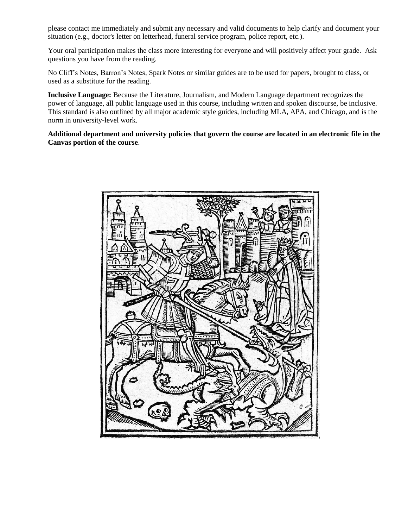please contact me immediately and submit any necessary and valid documents to help clarify and document your situation (e.g., doctor's letter on letterhead, funeral service program, police report, etc.).

Your oral participation makes the class more interesting for everyone and will positively affect your grade. Ask questions you have from the reading.

No Cliff's Notes, Barron's Notes, Spark Notes or similar guides are to be used for papers, brought to class, or used as a substitute for the reading.

**Inclusive Language:** Because the Literature, Journalism, and Modern Language department recognizes the power of language, all public language used in this course, including written and spoken discourse, be inclusive. This standard is also outlined by all major academic style guides, including MLA, APA, and Chicago, and is the norm in university-level work.

**Additional department and university policies that govern the course are located in an electronic file in the Canvas portion of the course**.

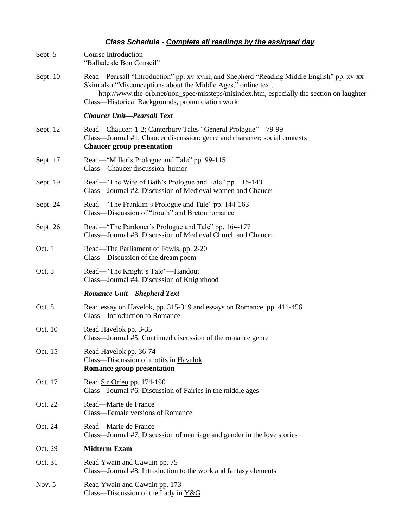## *Class Schedule - Complete all readings by the assigned day*

| Sept. 5  | Course Introduction<br>"Ballade de Bon Conseil"                                                                                                                                                                                                                                                               |
|----------|---------------------------------------------------------------------------------------------------------------------------------------------------------------------------------------------------------------------------------------------------------------------------------------------------------------|
| Sept. 10 | Read—Pearsall "Introduction" pp. xv-xviii, and Shepherd "Reading Middle English" pp. xv-xx<br>Skim also "Misconceptions about the Middle Ages," online text,<br>http://www.the-orb.net/non_spec/missteps/misindex.htm, especially the section on laughter<br>Class—Historical Backgrounds, pronunciation work |
|          | <b>Chaucer Unit-Pearsall Text</b>                                                                                                                                                                                                                                                                             |
| Sept. 12 | Read—Chaucer: 1-2; Canterbury Tales "General Prologue"—79-99<br>Class—Journal #1; Chaucer discussion: genre and character; social contexts<br><b>Chaucer group presentation</b>                                                                                                                               |
| Sept. 17 | Read—"Miller's Prologue and Tale" pp. 99-115<br>Class-Chaucer discussion: humor                                                                                                                                                                                                                               |
| Sept. 19 | Read—"The Wife of Bath's Prologue and Tale" pp. 116-143<br>Class—Journal #2; Discussion of Medieval women and Chaucer                                                                                                                                                                                         |
| Sept. 24 | Read—"The Franklin's Prologue and Tale" pp. 144-163<br>Class—Discussion of "trouth" and Breton romance                                                                                                                                                                                                        |
| Sept. 26 | Read—"The Pardoner's Prologue and Tale" pp. 164-177<br>Class—Journal #3; Discussion of Medieval Church and Chaucer                                                                                                                                                                                            |
| Oct. 1   | Read—The Parliament of Fowls, pp. 2-20<br>Class—Discussion of the dream poem                                                                                                                                                                                                                                  |
| Oct. 3   | Read—"The Knight's Tale"—Handout<br>Class—Journal #4; Discussion of Knighthood                                                                                                                                                                                                                                |
|          | <b>Romance Unit-Shepherd Text</b>                                                                                                                                                                                                                                                                             |
| Oct. 8   | Read essay on Havelok, pp. 315-319 and essays on Romance, pp. 411-456<br>Class-Introduction to Romance                                                                                                                                                                                                        |
| Oct. 10  | Read Havelok pp. 3-35<br>Class—Journal #5; Continued discussion of the romance genre                                                                                                                                                                                                                          |
| Oct. 15  | Read Havelok pp. 36-74<br>Class-Discussion of motifs in Havelok<br><b>Romance group presentation</b>                                                                                                                                                                                                          |
| Oct. 17  | Read Sir Orfeo pp. 174-190<br>Class—Journal #6; Discussion of Fairies in the middle ages                                                                                                                                                                                                                      |
| Oct. 22  | Read-Marie de France<br>Class—Female versions of Romance                                                                                                                                                                                                                                                      |
| Oct. 24  | Read-Marie de France<br>Class—Journal #7; Discussion of marriage and gender in the love stories                                                                                                                                                                                                               |
| Oct. 29  | <b>Midterm Exam</b>                                                                                                                                                                                                                                                                                           |
| Oct. 31  | Read Ywain and Gawain pp. 75<br>Class—Journal #8; Introduction to the work and fantasy elements                                                                                                                                                                                                               |
| Nov. $5$ | Read Ywain and Gawain pp. 173<br>Class—Discussion of the Lady in $Y&G$                                                                                                                                                                                                                                        |